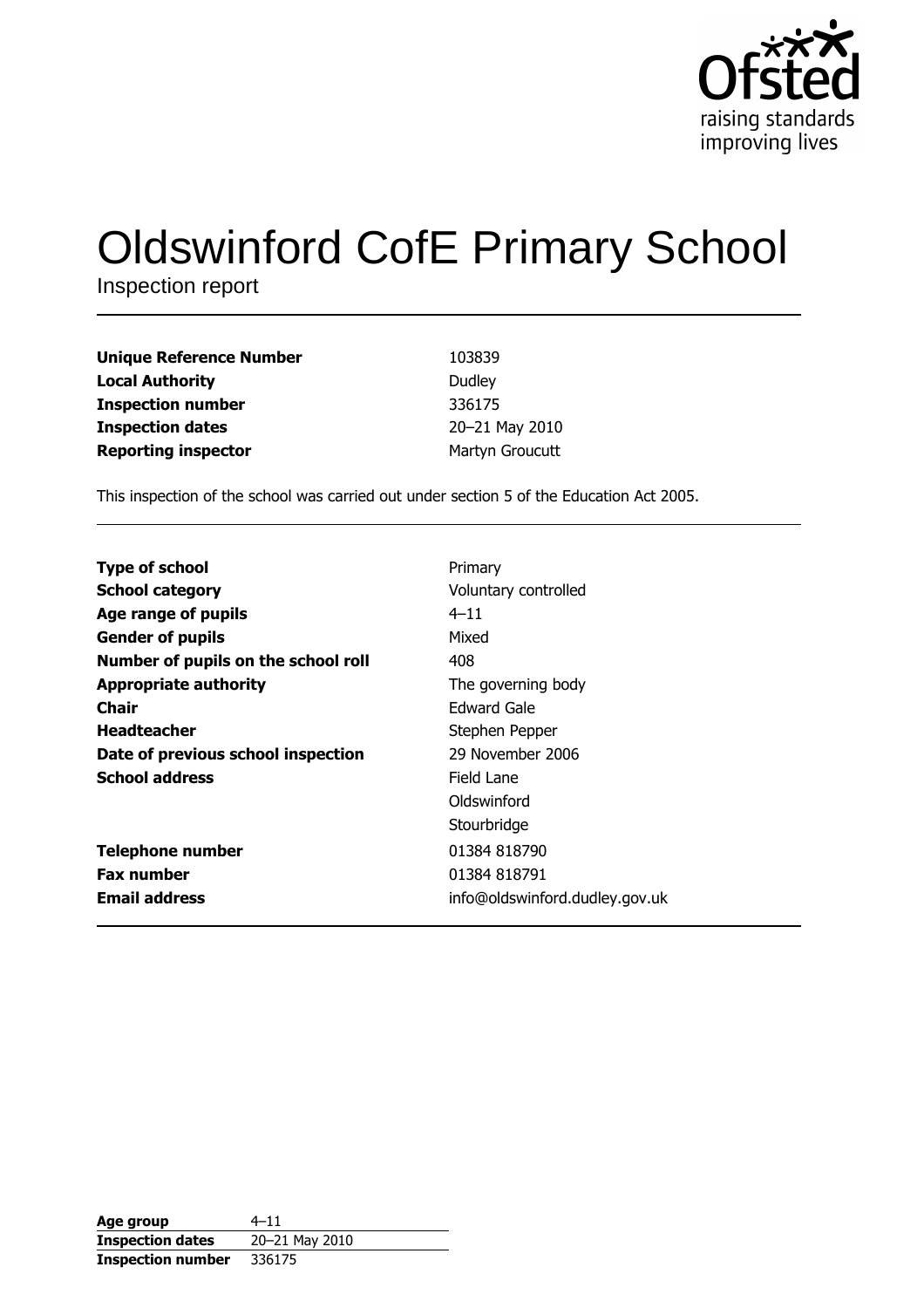

# **Oldswinford CofE Primary School**

Inspection report

| Unique Reference Number    | 103839          |
|----------------------------|-----------------|
| Local Authority            | Dudley          |
| Inspection number          | 336175          |
| <b>Inspection dates</b>    | 20-21 May 2010  |
| <b>Reporting inspector</b> | Martyn Groucutt |

This inspection of the school was carried out under section 5 of the Education Act 2005.

| <b>Type of school</b>               | Primary                        |
|-------------------------------------|--------------------------------|
| <b>School category</b>              | Voluntary controlled           |
| Age range of pupils                 | $4 - 11$                       |
| <b>Gender of pupils</b>             | Mixed                          |
| Number of pupils on the school roll | 408                            |
| <b>Appropriate authority</b>        | The governing body             |
| Chair                               | Edward Gale                    |
| <b>Headteacher</b>                  | Stephen Pepper                 |
| Date of previous school inspection  | 29 November 2006               |
| <b>School address</b>               | Field Lane                     |
|                                     | Oldswinford                    |
|                                     | Stourbridge                    |
| <b>Telephone number</b>             | 01384 818790                   |
| <b>Fax number</b>                   | 01384 818791                   |
| <b>Email address</b>                | info@oldswinford.dudley.gov.uk |

| Age group                | $4 - 11$       |
|--------------------------|----------------|
| <b>Inspection dates</b>  | 20-21 May 2010 |
| <b>Inspection number</b> | 336175         |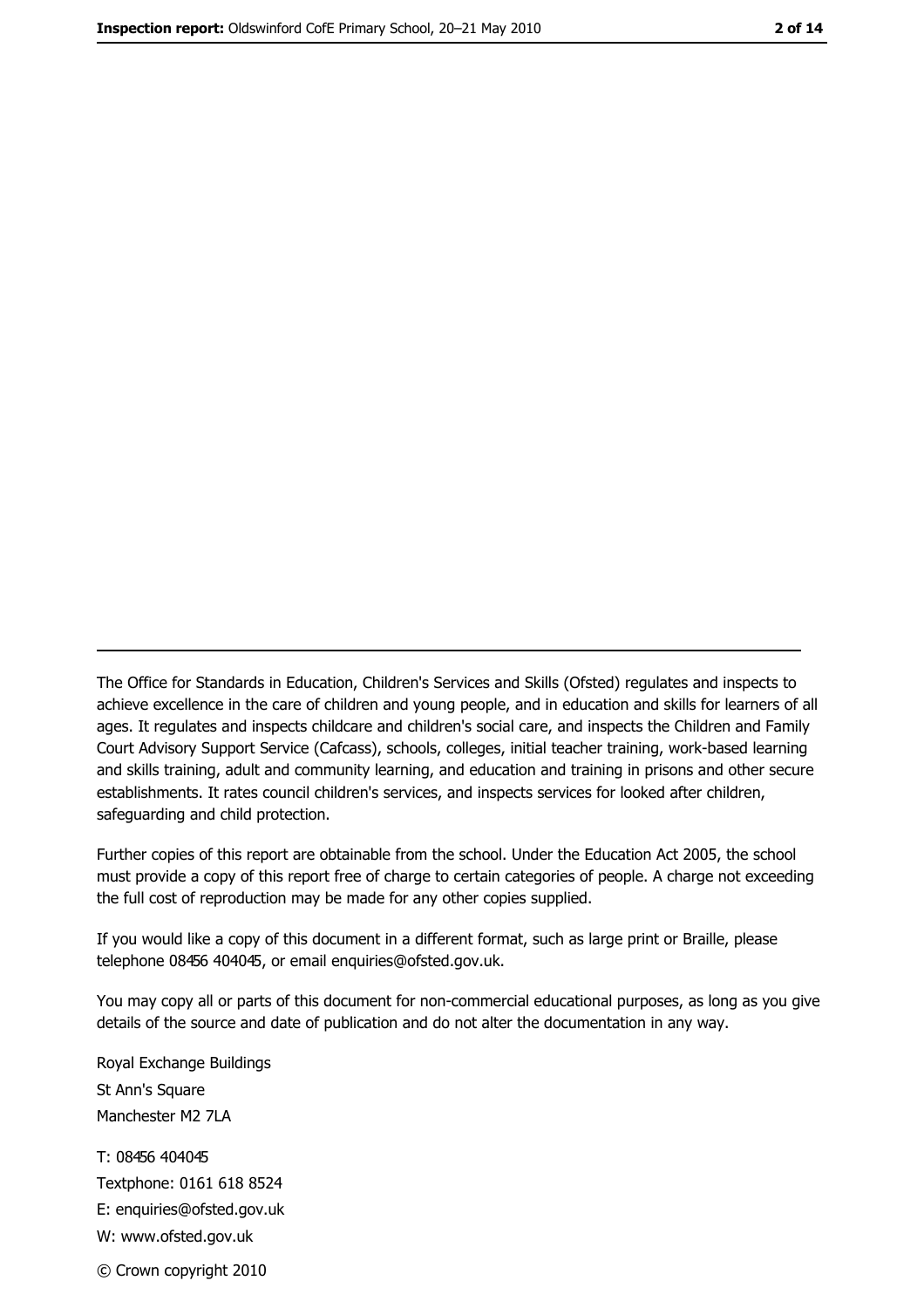The Office for Standards in Education, Children's Services and Skills (Ofsted) regulates and inspects to achieve excellence in the care of children and young people, and in education and skills for learners of all ages. It regulates and inspects childcare and children's social care, and inspects the Children and Family Court Advisory Support Service (Cafcass), schools, colleges, initial teacher training, work-based learning and skills training, adult and community learning, and education and training in prisons and other secure establishments. It rates council children's services, and inspects services for looked after children, safequarding and child protection.

Further copies of this report are obtainable from the school. Under the Education Act 2005, the school must provide a copy of this report free of charge to certain categories of people. A charge not exceeding the full cost of reproduction may be made for any other copies supplied.

If you would like a copy of this document in a different format, such as large print or Braille, please telephone 08456 404045, or email enquiries@ofsted.gov.uk.

You may copy all or parts of this document for non-commercial educational purposes, as long as you give details of the source and date of publication and do not alter the documentation in any way.

Royal Exchange Buildings St Ann's Square Manchester M2 7LA T: 08456 404045 Textphone: 0161 618 8524 E: enquiries@ofsted.gov.uk W: www.ofsted.gov.uk © Crown copyright 2010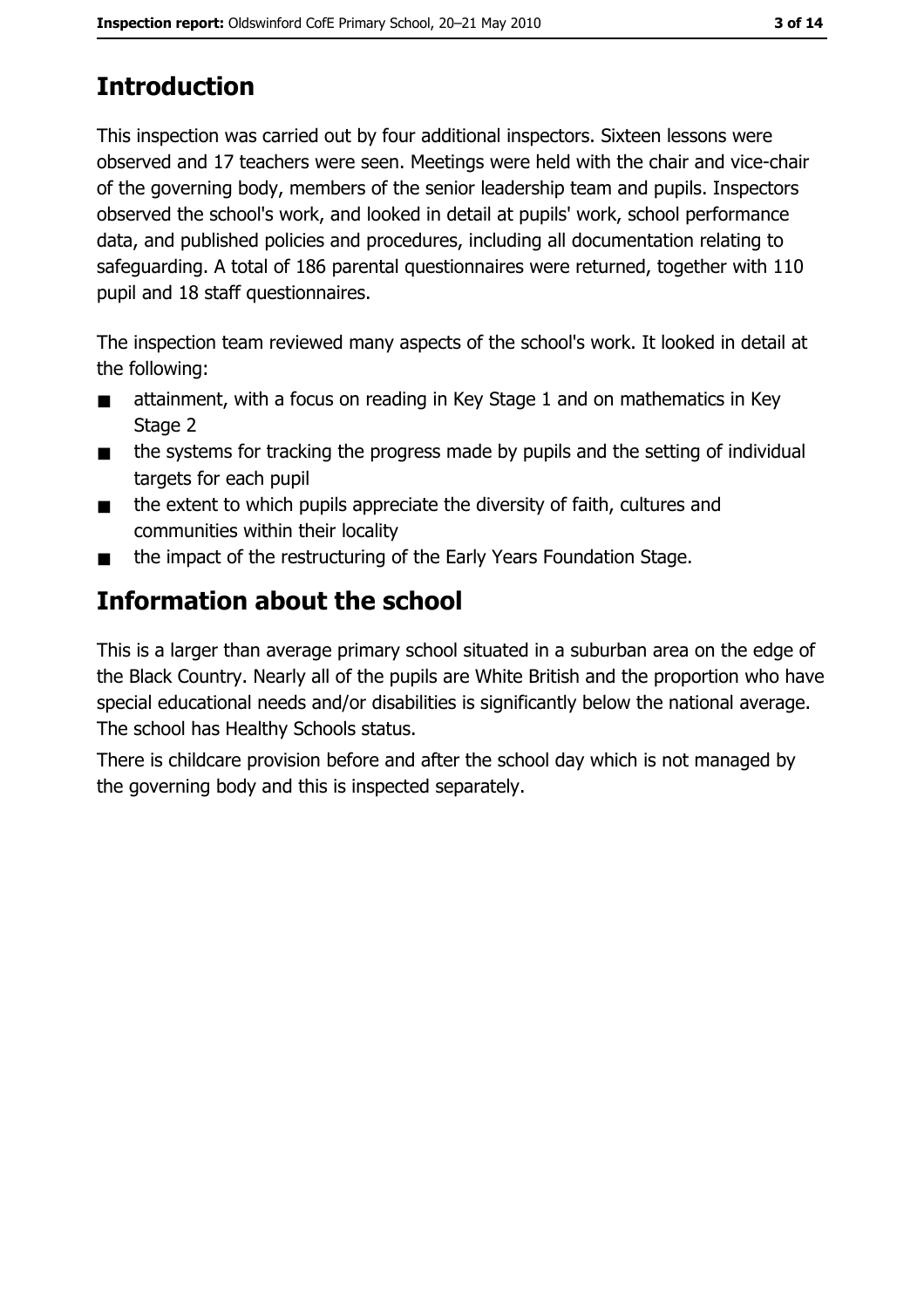# **Introduction**

This inspection was carried out by four additional inspectors. Sixteen lessons were observed and 17 teachers were seen. Meetings were held with the chair and vice-chair of the governing body, members of the senior leadership team and pupils. Inspectors observed the school's work, and looked in detail at pupils' work, school performance data, and published policies and procedures, including all documentation relating to safeguarding. A total of 186 parental questionnaires were returned, together with 110 pupil and 18 staff questionnaires.

The inspection team reviewed many aspects of the school's work. It looked in detail at the following:

- attainment, with a focus on reading in Key Stage 1 and on mathematics in Key  $\blacksquare$ Stage 2
- the systems for tracking the progress made by pupils and the setting of individual  $\blacksquare$ targets for each pupil
- the extent to which pupils appreciate the diversity of faith, cultures and  $\blacksquare$ communities within their locality
- the impact of the restructuring of the Early Years Foundation Stage.  $\blacksquare$

# Information about the school

This is a larger than average primary school situated in a suburban area on the edge of the Black Country. Nearly all of the pupils are White British and the proportion who have special educational needs and/or disabilities is significantly below the national average. The school has Healthy Schools status.

There is childcare provision before and after the school day which is not managed by the governing body and this is inspected separately.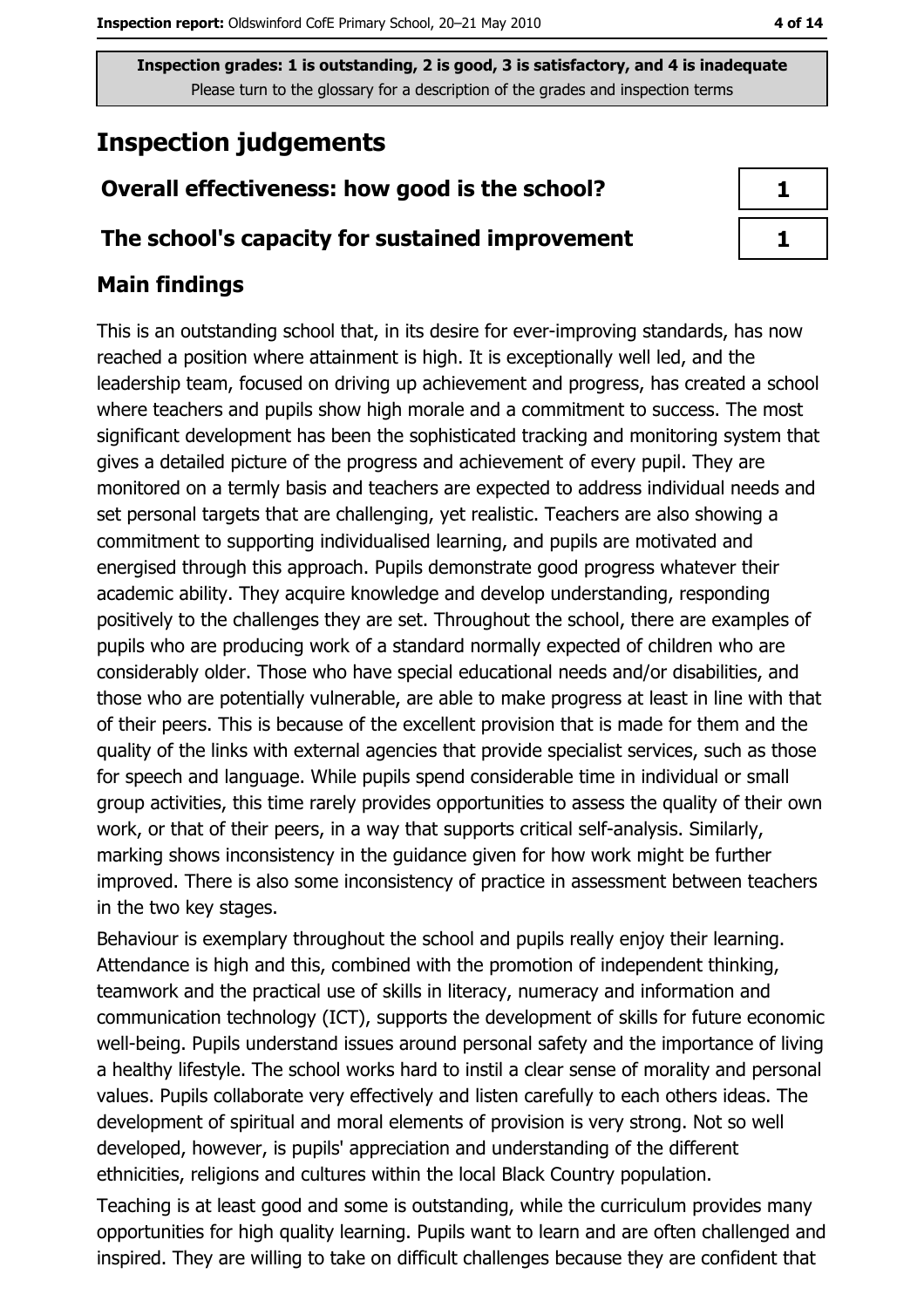# **Inspection judgements**

## Overall effectiveness: how good is the school?

### The school's capacity for sustained improvement

## **Main findings**

This is an outstanding school that, in its desire for ever-improving standards, has now reached a position where attainment is high. It is exceptionally well led, and the leadership team, focused on driving up achievement and progress, has created a school where teachers and pupils show high morale and a commitment to success. The most significant development has been the sophisticated tracking and monitoring system that gives a detailed picture of the progress and achievement of every pupil. They are monitored on a termly basis and teachers are expected to address individual needs and set personal targets that are challenging, yet realistic. Teachers are also showing a commitment to supporting individualised learning, and pupils are motivated and energised through this approach. Pupils demonstrate good progress whatever their academic ability. They acquire knowledge and develop understanding, responding positively to the challenges they are set. Throughout the school, there are examples of pupils who are producing work of a standard normally expected of children who are considerably older. Those who have special educational needs and/or disabilities, and those who are potentially vulnerable, are able to make progress at least in line with that of their peers. This is because of the excellent provision that is made for them and the quality of the links with external agencies that provide specialist services, such as those for speech and language. While pupils spend considerable time in individual or small group activities, this time rarely provides opportunities to assess the quality of their own work, or that of their peers, in a way that supports critical self-analysis. Similarly, marking shows inconsistency in the guidance given for how work might be further improved. There is also some inconsistency of practice in assessment between teachers in the two key stages.

Behaviour is exemplary throughout the school and pupils really enjoy their learning. Attendance is high and this, combined with the promotion of independent thinking, teamwork and the practical use of skills in literacy, numeracy and information and communication technology (ICT), supports the development of skills for future economic well-being. Pupils understand issues around personal safety and the importance of living a healthy lifestyle. The school works hard to instil a clear sense of morality and personal values. Pupils collaborate very effectively and listen carefully to each others ideas. The development of spiritual and moral elements of provision is very strong. Not so well developed, however, is pupils' appreciation and understanding of the different ethnicities, religions and cultures within the local Black Country population.

Teaching is at least good and some is outstanding, while the curriculum provides many opportunities for high quality learning. Pupils want to learn and are often challenged and inspired. They are willing to take on difficult challenges because they are confident that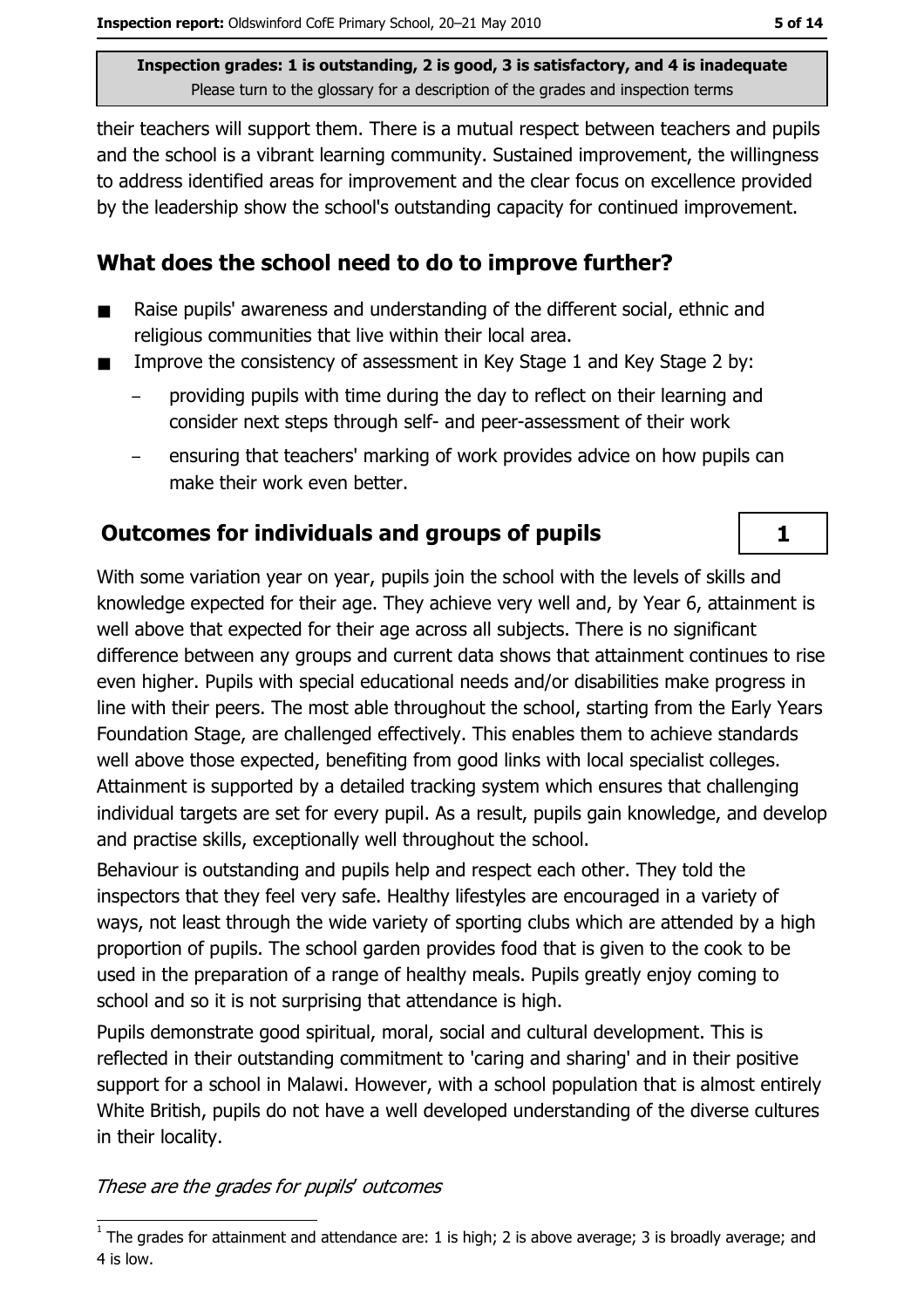their teachers will support them. There is a mutual respect between teachers and pupils and the school is a vibrant learning community. Sustained improvement, the willingness to address identified areas for improvement and the clear focus on excellence provided by the leadership show the school's outstanding capacity for continued improvement.

## What does the school need to do to improve further?

- Raise pupils' awareness and understanding of the different social, ethnic and п religious communities that live within their local area.
- Improve the consistency of assessment in Key Stage 1 and Key Stage 2 by:  $\blacksquare$ 
	- providing pupils with time during the day to reflect on their learning and consider next steps through self- and peer-assessment of their work
	- ensuring that teachers' marking of work provides advice on how pupils can make their work even better.

## **Outcomes for individuals and groups of pupils**

With some variation year on year, pupils join the school with the levels of skills and knowledge expected for their age. They achieve very well and, by Year 6, attainment is well above that expected for their age across all subjects. There is no significant difference between any groups and current data shows that attainment continues to rise even higher. Pupils with special educational needs and/or disabilities make progress in line with their peers. The most able throughout the school, starting from the Early Years Foundation Stage, are challenged effectively. This enables them to achieve standards well above those expected, benefiting from good links with local specialist colleges. Attainment is supported by a detailed tracking system which ensures that challenging individual targets are set for every pupil. As a result, pupils gain knowledge, and develop and practise skills, exceptionally well throughout the school.

Behaviour is outstanding and pupils help and respect each other. They told the inspectors that they feel very safe. Healthy lifestyles are encouraged in a variety of ways, not least through the wide variety of sporting clubs which are attended by a high proportion of pupils. The school garden provides food that is given to the cook to be used in the preparation of a range of healthy meals. Pupils greatly enjoy coming to school and so it is not surprising that attendance is high.

Pupils demonstrate good spiritual, moral, social and cultural development. This is reflected in their outstanding commitment to 'caring and sharing' and in their positive support for a school in Malawi. However, with a school population that is almost entirely White British, pupils do not have a well developed understanding of the diverse cultures in their locality.

#### These are the grades for pupils' outcomes

 $\mathbf{1}$ 

 $\overline{1}$  The grades for attainment and attendance are: 1 is high; 2 is above average; 3 is broadly average; and 4 is low.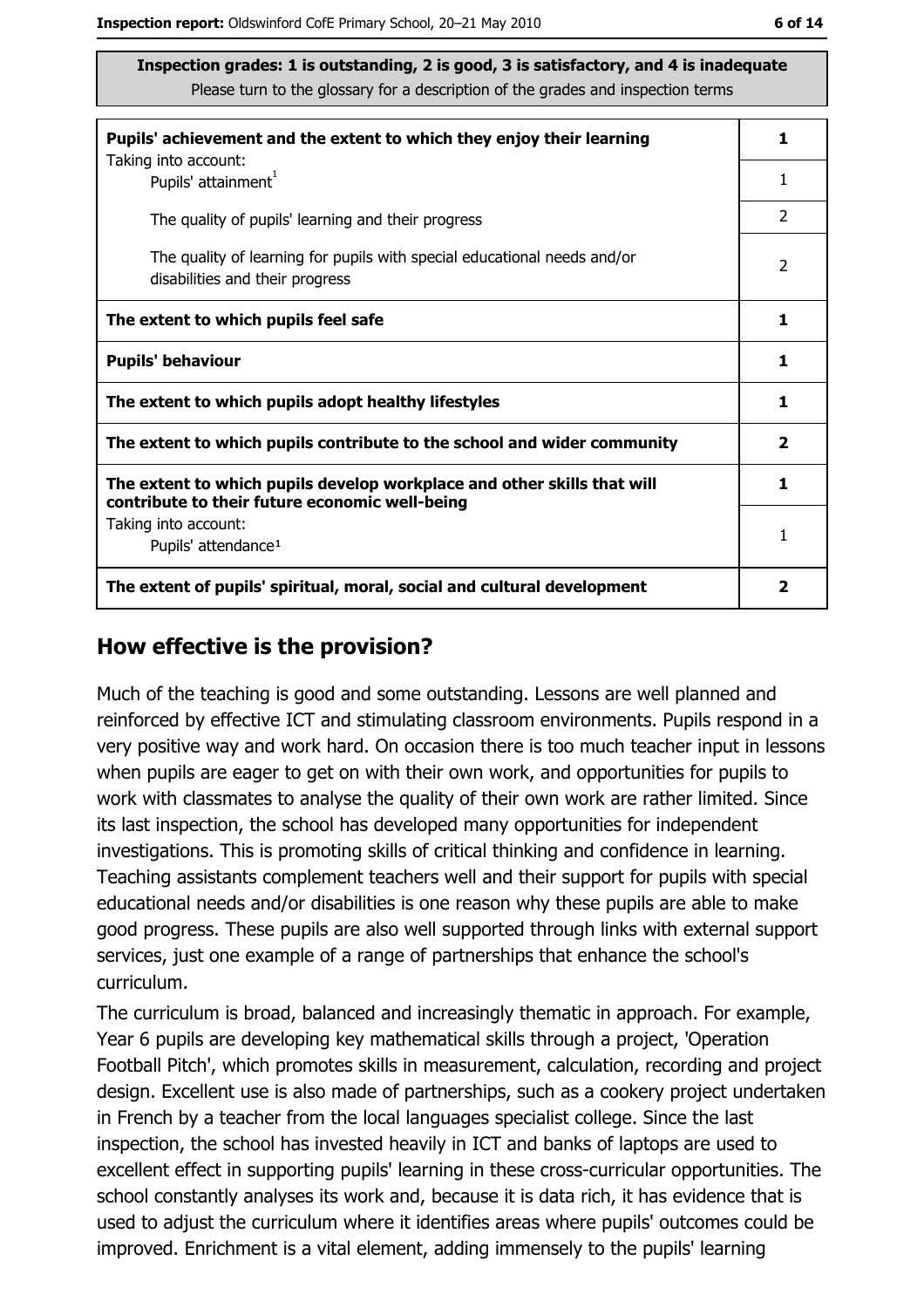| Pupils' achievement and the extent to which they enjoy their learning                                                     |                |  |
|---------------------------------------------------------------------------------------------------------------------------|----------------|--|
| Taking into account:<br>Pupils' attainment <sup>1</sup>                                                                   | 1              |  |
| The quality of pupils' learning and their progress                                                                        | $\mathcal{P}$  |  |
| The quality of learning for pupils with special educational needs and/or<br>disabilities and their progress               | $\overline{2}$ |  |
| The extent to which pupils feel safe                                                                                      | 1              |  |
| <b>Pupils' behaviour</b>                                                                                                  | 1              |  |
| The extent to which pupils adopt healthy lifestyles                                                                       | 1              |  |
| The extent to which pupils contribute to the school and wider community                                                   |                |  |
| The extent to which pupils develop workplace and other skills that will<br>contribute to their future economic well-being | 1              |  |
| Taking into account:<br>Pupils' attendance <sup>1</sup>                                                                   | 1              |  |
| The extent of pupils' spiritual, moral, social and cultural development                                                   | 2              |  |

#### How effective is the provision?

Much of the teaching is good and some outstanding. Lessons are well planned and reinforced by effective ICT and stimulating classroom environments. Pupils respond in a very positive way and work hard. On occasion there is too much teacher input in lessons when pupils are eager to get on with their own work, and opportunities for pupils to work with classmates to analyse the quality of their own work are rather limited. Since its last inspection, the school has developed many opportunities for independent investigations. This is promoting skills of critical thinking and confidence in learning. Teaching assistants complement teachers well and their support for pupils with special educational needs and/or disabilities is one reason why these pupils are able to make good progress. These pupils are also well supported through links with external support services, just one example of a range of partnerships that enhance the school's curriculum.

The curriculum is broad, balanced and increasingly thematic in approach. For example, Year 6 pupils are developing key mathematical skills through a project, 'Operation Football Pitch', which promotes skills in measurement, calculation, recording and project design. Excellent use is also made of partnerships, such as a cookery project undertaken in French by a teacher from the local languages specialist college. Since the last inspection, the school has invested heavily in ICT and banks of laptops are used to excellent effect in supporting pupils' learning in these cross-curricular opportunities. The school constantly analyses its work and, because it is data rich, it has evidence that is used to adjust the curriculum where it identifies areas where pupils' outcomes could be improved. Enrichment is a vital element, adding immensely to the pupils' learning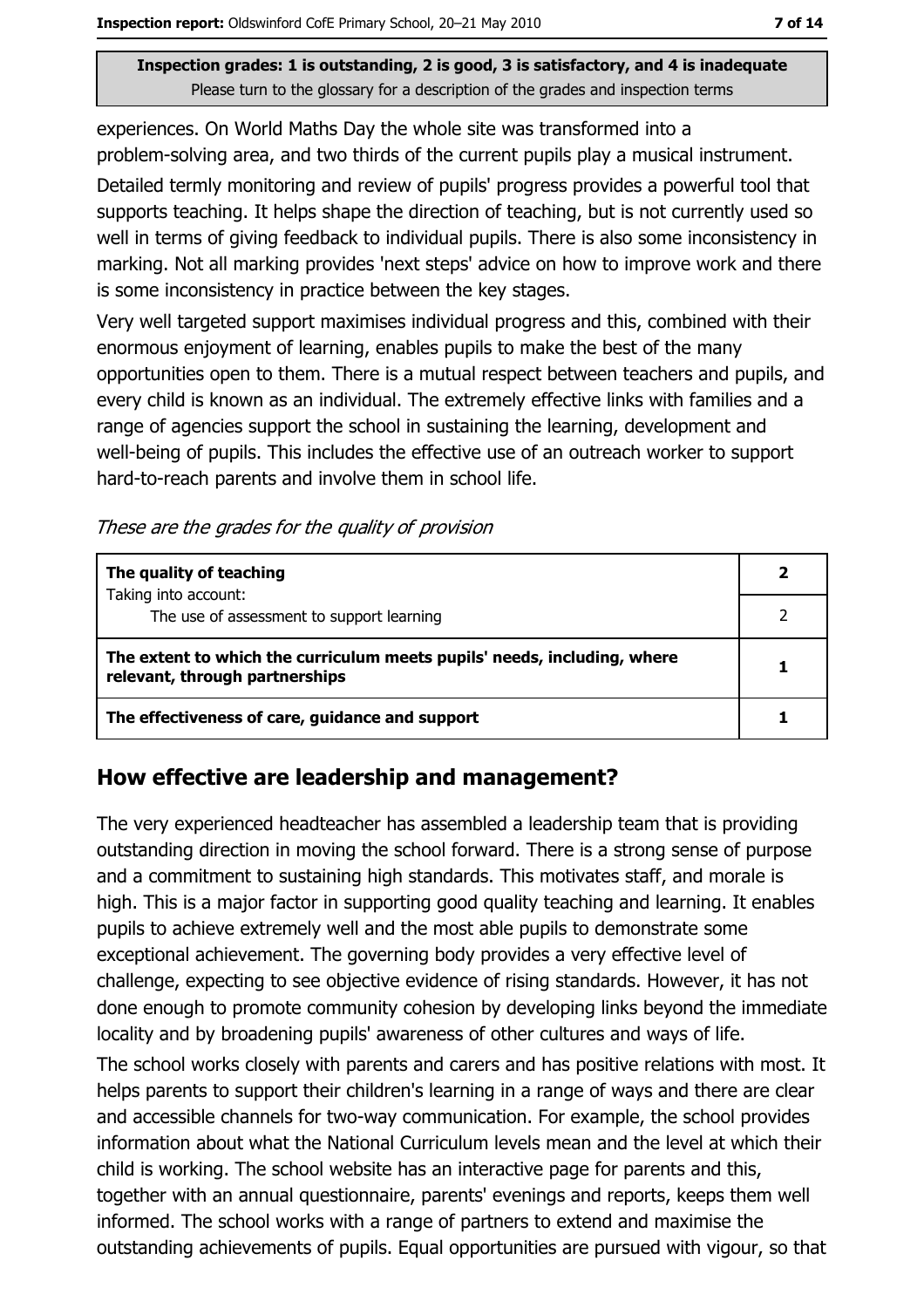experiences. On World Maths Day the whole site was transformed into a problem-solving area, and two thirds of the current pupils play a musical instrument.

Detailed termly monitoring and review of pupils' progress provides a powerful tool that supports teaching. It helps shape the direction of teaching, but is not currently used so well in terms of giving feedback to individual pupils. There is also some inconsistency in marking. Not all marking provides 'next steps' advice on how to improve work and there is some inconsistency in practice between the key stages.

Very well targeted support maximises individual progress and this, combined with their enormous enjoyment of learning, enables pupils to make the best of the many opportunities open to them. There is a mutual respect between teachers and pupils, and every child is known as an individual. The extremely effective links with families and a range of agencies support the school in sustaining the learning, development and well-being of pupils. This includes the effective use of an outreach worker to support hard-to-reach parents and involve them in school life.

These are the grades for the quality of provision

| The quality of teaching                                                                                    |  |
|------------------------------------------------------------------------------------------------------------|--|
| Taking into account:<br>The use of assessment to support learning                                          |  |
| The extent to which the curriculum meets pupils' needs, including, where<br>relevant, through partnerships |  |
| The effectiveness of care, guidance and support                                                            |  |

## How effective are leadership and management?

The very experienced headteacher has assembled a leadership team that is providing outstanding direction in moving the school forward. There is a strong sense of purpose and a commitment to sustaining high standards. This motivates staff, and morale is high. This is a major factor in supporting good quality teaching and learning. It enables pupils to achieve extremely well and the most able pupils to demonstrate some exceptional achievement. The governing body provides a very effective level of challenge, expecting to see objective evidence of rising standards. However, it has not done enough to promote community cohesion by developing links beyond the immediate locality and by broadening pupils' awareness of other cultures and ways of life.

The school works closely with parents and carers and has positive relations with most. It helps parents to support their children's learning in a range of ways and there are clear and accessible channels for two-way communication. For example, the school provides information about what the National Curriculum levels mean and the level at which their child is working. The school website has an interactive page for parents and this, together with an annual questionnaire, parents' evenings and reports, keeps them well informed. The school works with a range of partners to extend and maximise the outstanding achievements of pupils. Equal opportunities are pursued with vigour, so that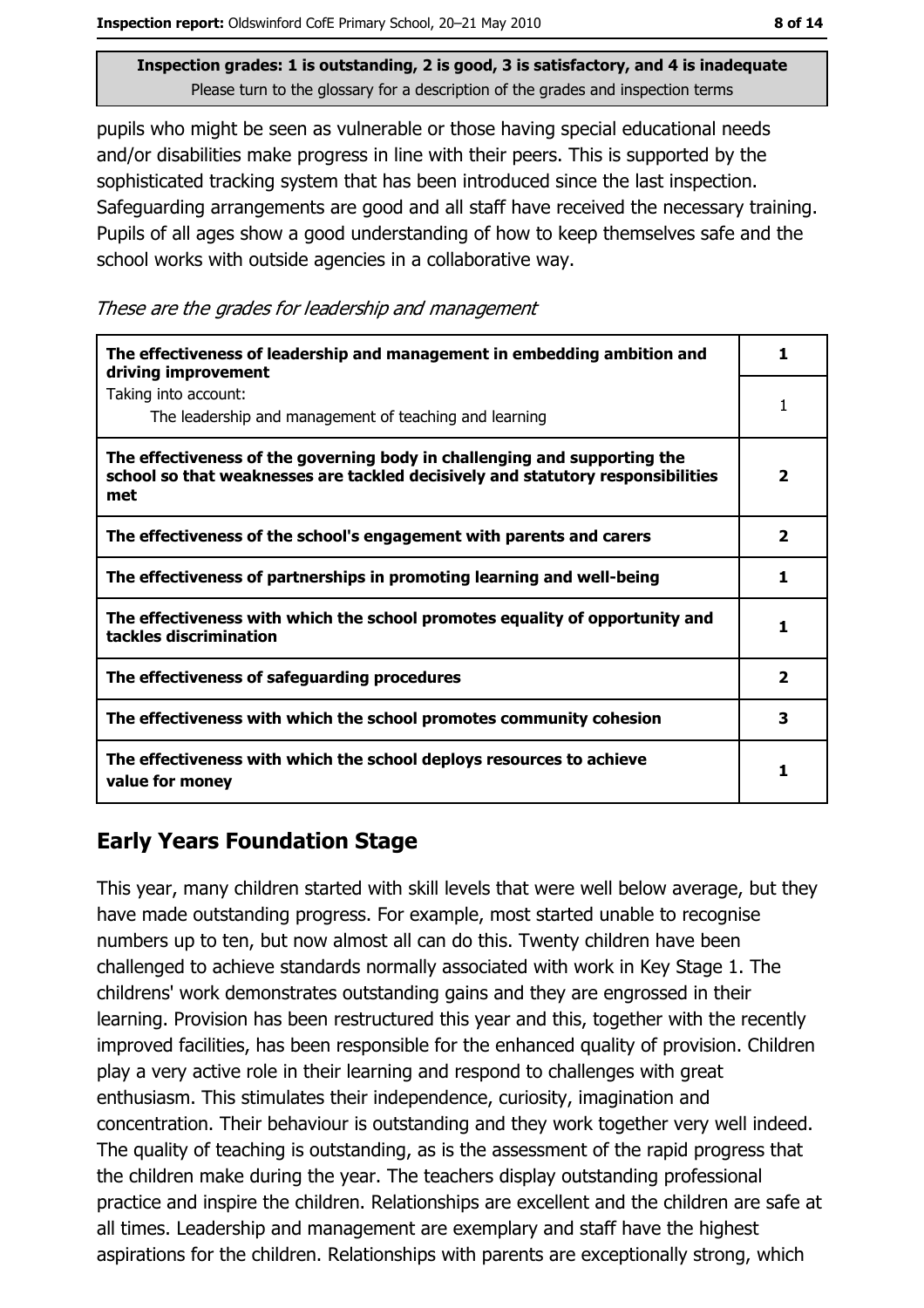pupils who might be seen as vulnerable or those having special educational needs and/or disabilities make progress in line with their peers. This is supported by the sophisticated tracking system that has been introduced since the last inspection. Safeguarding arrangements are good and all staff have received the necessary training. Pupils of all ages show a good understanding of how to keep themselves safe and the school works with outside agencies in a collaborative way.

These are the grades for leadership and management

| The effectiveness of leadership and management in embedding ambition and<br>driving improvement                                                                     | ı                       |
|---------------------------------------------------------------------------------------------------------------------------------------------------------------------|-------------------------|
| Taking into account:<br>The leadership and management of teaching and learning                                                                                      | 1                       |
| The effectiveness of the governing body in challenging and supporting the<br>school so that weaknesses are tackled decisively and statutory responsibilities<br>met | $\overline{\mathbf{2}}$ |
| The effectiveness of the school's engagement with parents and carers                                                                                                | $\overline{\mathbf{2}}$ |
| The effectiveness of partnerships in promoting learning and well-being                                                                                              | 1                       |
| The effectiveness with which the school promotes equality of opportunity and<br>tackles discrimination                                                              | 1                       |
| The effectiveness of safeguarding procedures                                                                                                                        | 2                       |
| The effectiveness with which the school promotes community cohesion                                                                                                 | 3                       |
| The effectiveness with which the school deploys resources to achieve<br>value for money                                                                             | 1                       |

# **Early Years Foundation Stage**

This year, many children started with skill levels that were well below average, but they have made outstanding progress. For example, most started unable to recognise numbers up to ten, but now almost all can do this. Twenty children have been challenged to achieve standards normally associated with work in Key Stage 1. The childrens' work demonstrates outstanding gains and they are engrossed in their learning. Provision has been restructured this year and this, together with the recently improved facilities, has been responsible for the enhanced quality of provision. Children play a very active role in their learning and respond to challenges with great enthusiasm. This stimulates their independence, curiosity, imagination and concentration. Their behaviour is outstanding and they work together very well indeed. The quality of teaching is outstanding, as is the assessment of the rapid progress that the children make during the year. The teachers display outstanding professional practice and inspire the children. Relationships are excellent and the children are safe at all times. Leadership and management are exemplary and staff have the highest aspirations for the children. Relationships with parents are exceptionally strong, which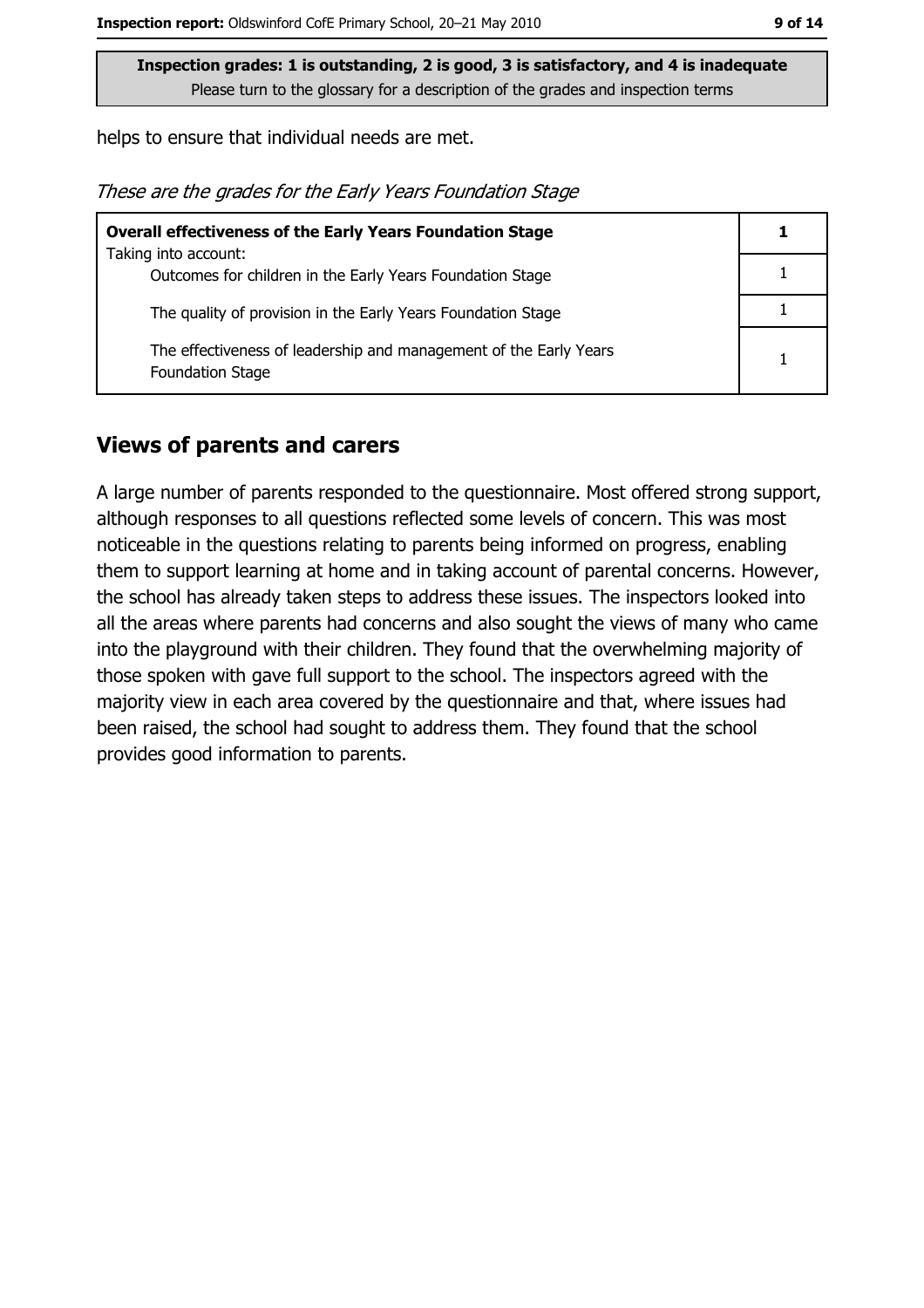helps to ensure that individual needs are met.

These are the grades for the Early Years Foundation Stage

| <b>Overall effectiveness of the Early Years Foundation Stage</b>                             |  |
|----------------------------------------------------------------------------------------------|--|
| Taking into account:                                                                         |  |
| Outcomes for children in the Early Years Foundation Stage                                    |  |
| The quality of provision in the Early Years Foundation Stage                                 |  |
| The effectiveness of leadership and management of the Early Years<br><b>Foundation Stage</b> |  |

#### **Views of parents and carers**

A large number of parents responded to the questionnaire. Most offered strong support, although responses to all questions reflected some levels of concern. This was most noticeable in the questions relating to parents being informed on progress, enabling them to support learning at home and in taking account of parental concerns. However, the school has already taken steps to address these issues. The inspectors looked into all the areas where parents had concerns and also sought the views of many who came into the playground with their children. They found that the overwhelming majority of those spoken with gave full support to the school. The inspectors agreed with the majority view in each area covered by the questionnaire and that, where issues had been raised, the school had sought to address them. They found that the school provides good information to parents.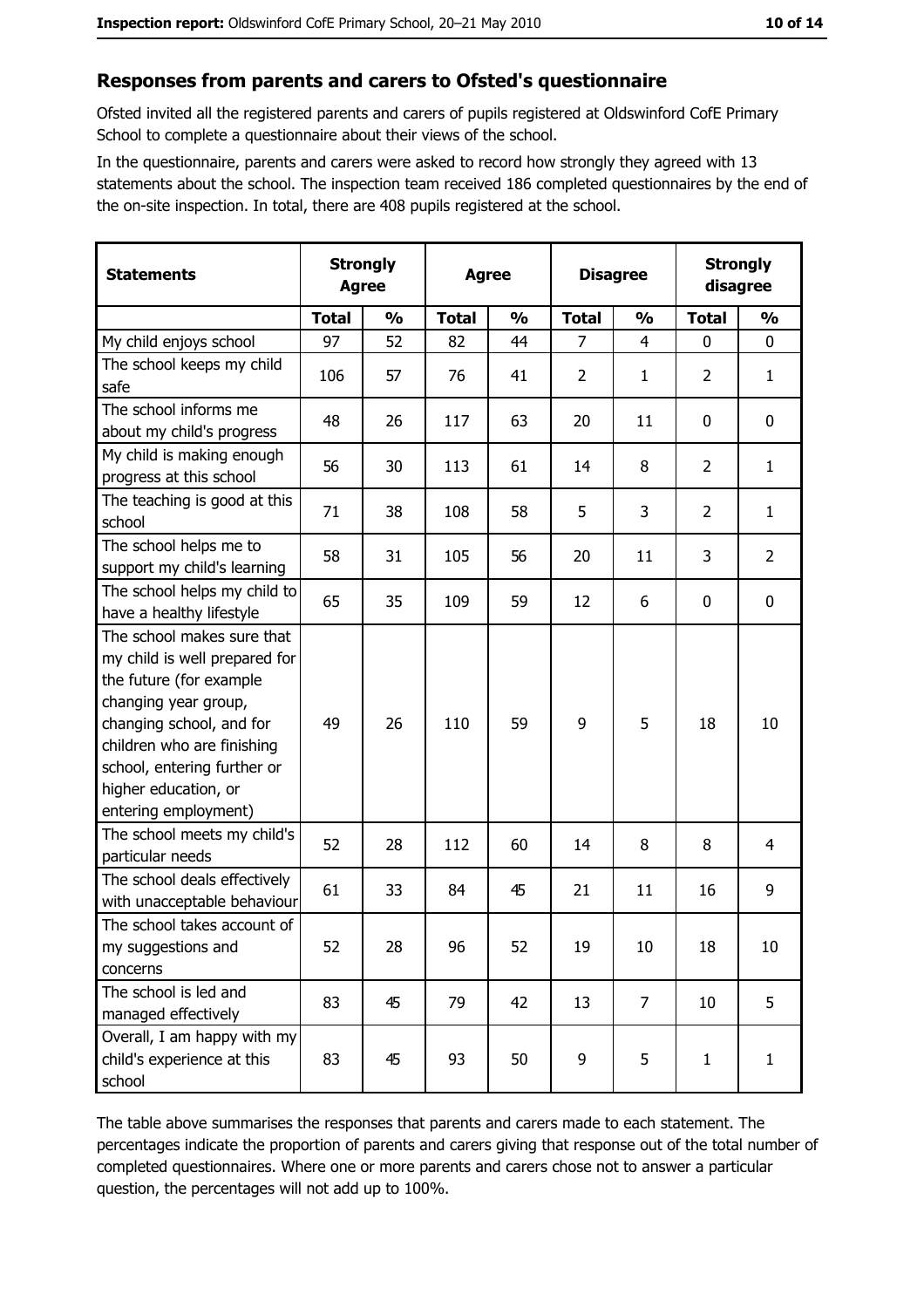#### Responses from parents and carers to Ofsted's questionnaire

Ofsted invited all the registered parents and carers of pupils registered at Oldswinford CofE Primary School to complete a questionnaire about their views of the school.

In the questionnaire, parents and carers were asked to record how strongly they agreed with 13 statements about the school. The inspection team received 186 completed questionnaires by the end of the on-site inspection. In total, there are 408 pupils registered at the school.

| <b>Statements</b>                                                                                                                                                                                                                                       | <b>Strongly</b><br><b>Agree</b> |               | <b>Agree</b> |               |                | <b>Disagree</b> |                | <b>Strongly</b><br>disagree |  |
|---------------------------------------------------------------------------------------------------------------------------------------------------------------------------------------------------------------------------------------------------------|---------------------------------|---------------|--------------|---------------|----------------|-----------------|----------------|-----------------------------|--|
|                                                                                                                                                                                                                                                         | <b>Total</b>                    | $\frac{0}{0}$ | <b>Total</b> | $\frac{0}{0}$ | <b>Total</b>   | $\frac{0}{0}$   | <b>Total</b>   | $\frac{0}{0}$               |  |
| My child enjoys school                                                                                                                                                                                                                                  | 97                              | 52            | 82           | 44            | $\overline{7}$ | $\overline{4}$  | $\mathbf 0$    | $\mathbf 0$                 |  |
| The school keeps my child<br>safe                                                                                                                                                                                                                       | 106                             | 57            | 76           | 41            | $\overline{2}$ | 1               | $\overline{2}$ | $\mathbf{1}$                |  |
| The school informs me<br>about my child's progress                                                                                                                                                                                                      | 48                              | 26            | 117          | 63            | 20             | 11              | 0              | 0                           |  |
| My child is making enough<br>progress at this school                                                                                                                                                                                                    | 56                              | 30            | 113          | 61            | 14             | 8               | $\overline{2}$ | $\mathbf{1}$                |  |
| The teaching is good at this<br>school                                                                                                                                                                                                                  | 71                              | 38            | 108          | 58            | 5              | 3               | $\overline{2}$ | $\mathbf{1}$                |  |
| The school helps me to<br>support my child's learning                                                                                                                                                                                                   | 58                              | 31            | 105          | 56            | 20             | 11              | 3              | $\overline{2}$              |  |
| The school helps my child to<br>have a healthy lifestyle                                                                                                                                                                                                | 65                              | 35            | 109          | 59            | 12             | 6               | $\mathbf 0$    | $\mathbf 0$                 |  |
| The school makes sure that<br>my child is well prepared for<br>the future (for example<br>changing year group,<br>changing school, and for<br>children who are finishing<br>school, entering further or<br>higher education, or<br>entering employment) | 49                              | 26            | 110          | 59            | 9              | 5               | 18             | 10                          |  |
| The school meets my child's<br>particular needs                                                                                                                                                                                                         | 52                              | 28            | 112          | 60            | 14             | 8               | 8              | $\overline{4}$              |  |
| The school deals effectively<br>with unacceptable behaviour                                                                                                                                                                                             | 61                              | 33            | 84           | 45            | 21             | 11              | 16             | 9                           |  |
| The school takes account of<br>my suggestions and<br>concerns                                                                                                                                                                                           | 52                              | 28            | 96           | 52            | 19             | 10              | 18             | 10                          |  |
| The school is led and<br>managed effectively                                                                                                                                                                                                            | 83                              | 45            | 79           | 42            | 13             | 7               | 10             | 5                           |  |
| Overall, I am happy with my<br>child's experience at this<br>school                                                                                                                                                                                     | 83                              | 45            | 93           | 50            | 9              | 5               | 1              | $\mathbf{1}$                |  |

The table above summarises the responses that parents and carers made to each statement. The percentages indicate the proportion of parents and carers giving that response out of the total number of completed questionnaires. Where one or more parents and carers chose not to answer a particular question, the percentages will not add up to 100%.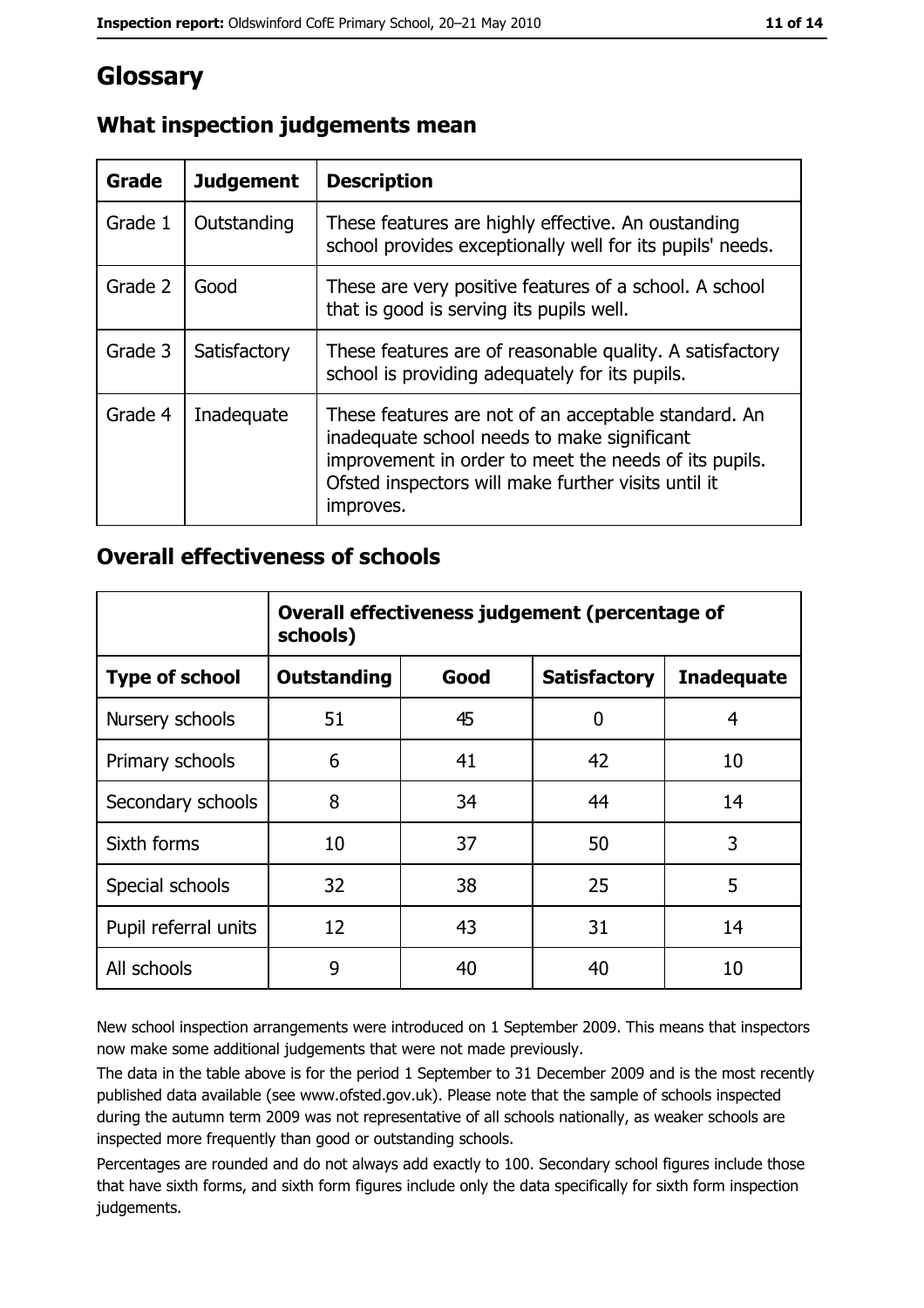# Glossary

| Grade   | <b>Judgement</b> | <b>Description</b>                                                                                                                                                                                                               |  |
|---------|------------------|----------------------------------------------------------------------------------------------------------------------------------------------------------------------------------------------------------------------------------|--|
| Grade 1 | Outstanding      | These features are highly effective. An oustanding<br>school provides exceptionally well for its pupils' needs.                                                                                                                  |  |
| Grade 2 | Good             | These are very positive features of a school. A school<br>that is good is serving its pupils well.                                                                                                                               |  |
| Grade 3 | Satisfactory     | These features are of reasonable quality. A satisfactory<br>school is providing adequately for its pupils.                                                                                                                       |  |
| Grade 4 | Inadequate       | These features are not of an acceptable standard. An<br>inadequate school needs to make significant<br>improvement in order to meet the needs of its pupils.<br>Ofsted inspectors will make further visits until it<br>improves. |  |

# What inspection judgements mean

## **Overall effectiveness of schools**

|                       | Overall effectiveness judgement (percentage of<br>schools) |      |                     |                   |
|-----------------------|------------------------------------------------------------|------|---------------------|-------------------|
| <b>Type of school</b> | <b>Outstanding</b>                                         | Good | <b>Satisfactory</b> | <b>Inadequate</b> |
| Nursery schools       | 51                                                         | 45   | 0                   | 4                 |
| Primary schools       | 6                                                          | 41   | 42                  | 10                |
| Secondary schools     | 8                                                          | 34   | 44                  | 14                |
| Sixth forms           | 10                                                         | 37   | 50                  | 3                 |
| Special schools       | 32                                                         | 38   | 25                  | 5                 |
| Pupil referral units  | 12                                                         | 43   | 31                  | 14                |
| All schools           | 9                                                          | 40   | 40                  | 10                |

New school inspection arrangements were introduced on 1 September 2009. This means that inspectors now make some additional judgements that were not made previously.

The data in the table above is for the period 1 September to 31 December 2009 and is the most recently published data available (see www.ofsted.gov.uk). Please note that the sample of schools inspected during the autumn term 2009 was not representative of all schools nationally, as weaker schools are inspected more frequently than good or outstanding schools.

Percentages are rounded and do not always add exactly to 100. Secondary school figures include those that have sixth forms, and sixth form figures include only the data specifically for sixth form inspection judgements.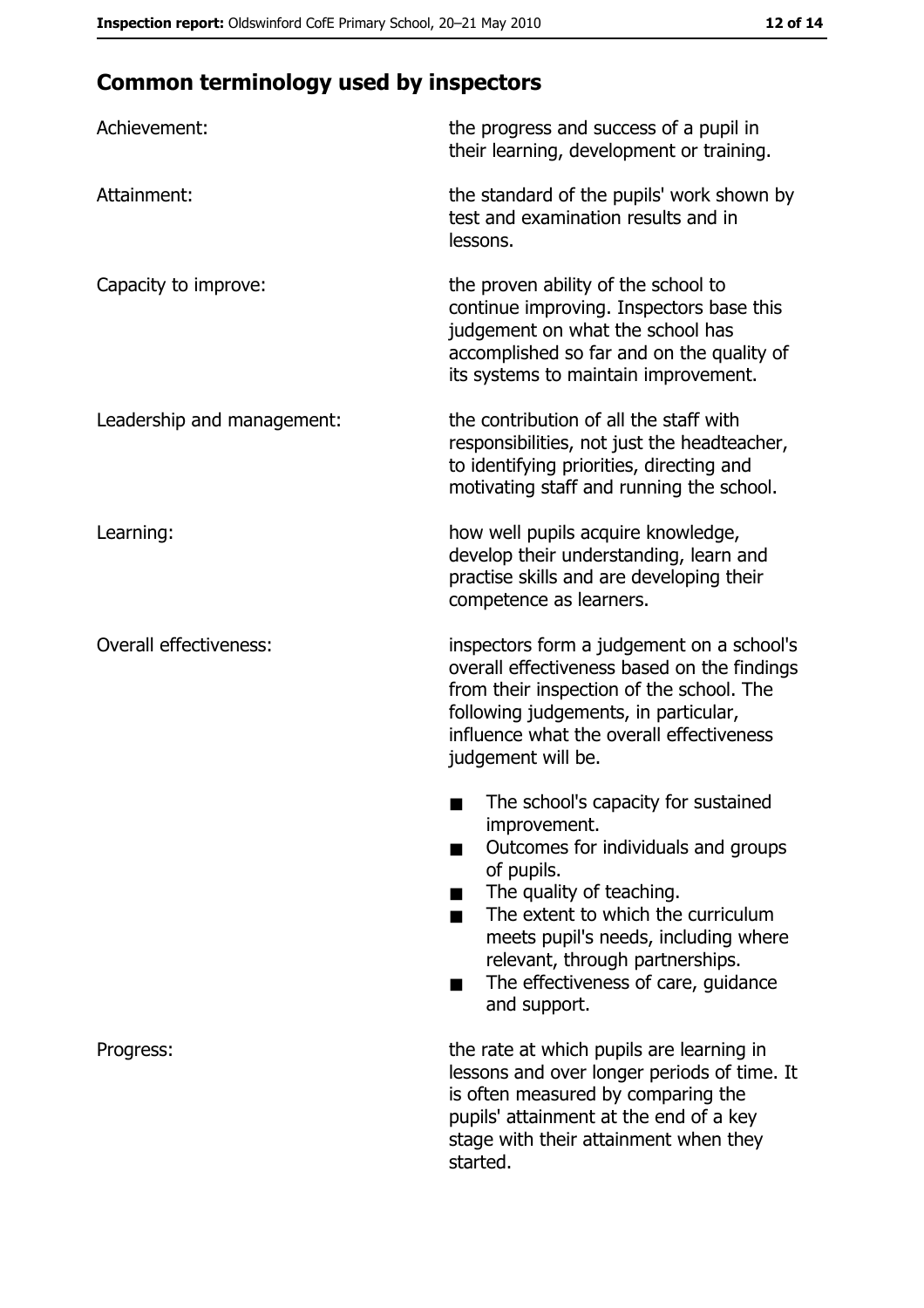# **Common terminology used by inspectors**

| Achievement:                  | the progress and success of a pupil in<br>their learning, development or training.                                                                                                                                                                                                                                |
|-------------------------------|-------------------------------------------------------------------------------------------------------------------------------------------------------------------------------------------------------------------------------------------------------------------------------------------------------------------|
| Attainment:                   | the standard of the pupils' work shown by<br>test and examination results and in<br>lessons.                                                                                                                                                                                                                      |
| Capacity to improve:          | the proven ability of the school to<br>continue improving. Inspectors base this<br>judgement on what the school has<br>accomplished so far and on the quality of<br>its systems to maintain improvement.                                                                                                          |
| Leadership and management:    | the contribution of all the staff with<br>responsibilities, not just the headteacher,<br>to identifying priorities, directing and<br>motivating staff and running the school.                                                                                                                                     |
| Learning:                     | how well pupils acquire knowledge,<br>develop their understanding, learn and<br>practise skills and are developing their<br>competence as learners.                                                                                                                                                               |
| <b>Overall effectiveness:</b> | inspectors form a judgement on a school's<br>overall effectiveness based on the findings<br>from their inspection of the school. The<br>following judgements, in particular,<br>influence what the overall effectiveness<br>judgement will be.                                                                    |
|                               | The school's capacity for sustained<br>improvement.<br>Outcomes for individuals and groups<br>of pupils.<br>The quality of teaching.<br>The extent to which the curriculum<br>meets pupil's needs, including where<br>relevant, through partnerships.<br>The effectiveness of care, guidance<br>▄<br>and support. |
| Progress:                     | the rate at which pupils are learning in<br>lessons and over longer periods of time. It<br>is often measured by comparing the<br>pupils' attainment at the end of a key<br>stage with their attainment when they<br>started.                                                                                      |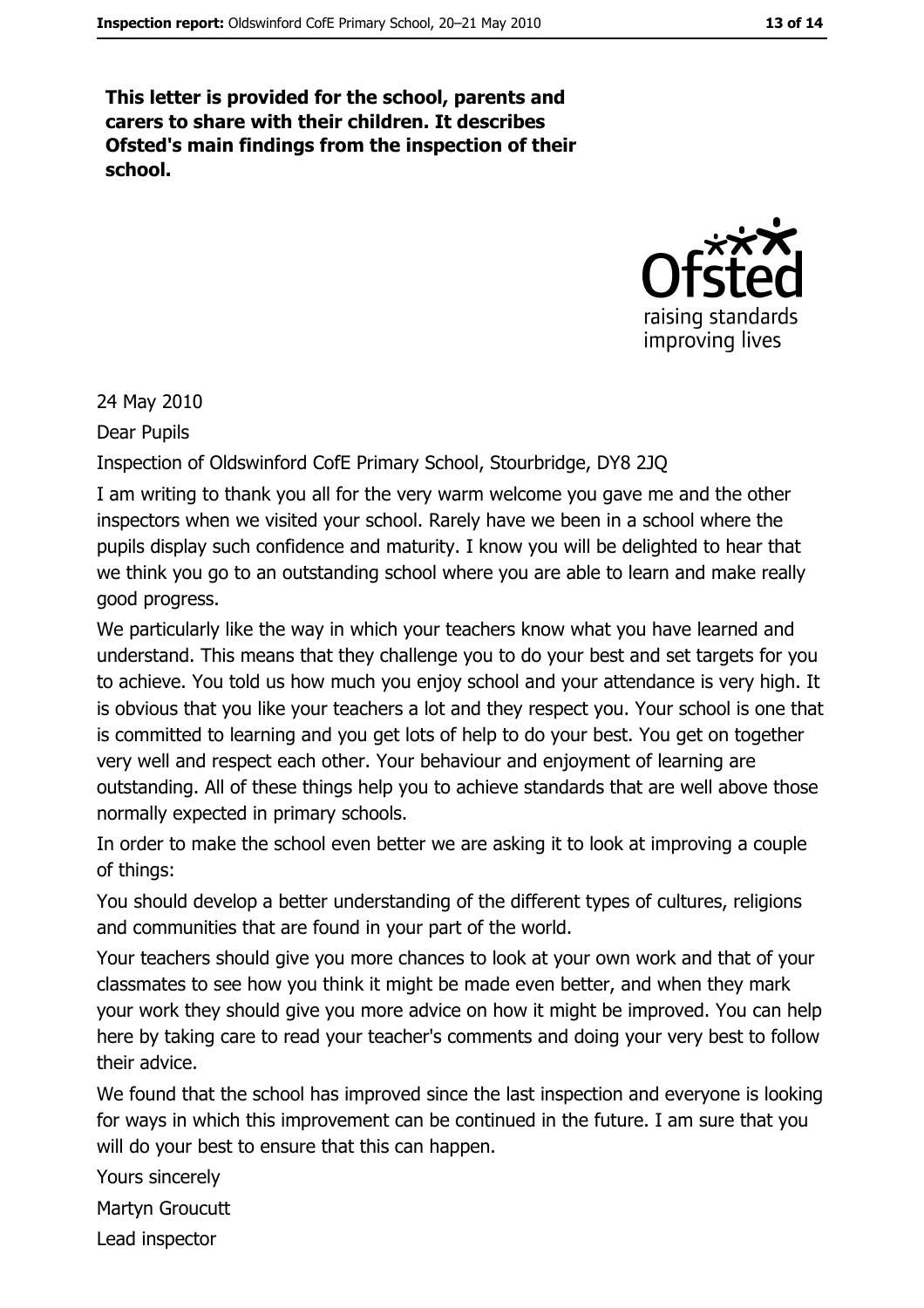This letter is provided for the school, parents and carers to share with their children. It describes Ofsted's main findings from the inspection of their school.



24 May 2010

Dear Pupils

Inspection of Oldswinford CofE Primary School, Stourbridge, DY8 2JQ

I am writing to thank you all for the very warm welcome you gave me and the other inspectors when we visited your school. Rarely have we been in a school where the pupils display such confidence and maturity. I know you will be delighted to hear that we think you go to an outstanding school where you are able to learn and make really good progress.

We particularly like the way in which your teachers know what you have learned and understand. This means that they challenge you to do your best and set targets for you to achieve. You told us how much you enjoy school and your attendance is very high. It is obvious that you like your teachers a lot and they respect you. Your school is one that is committed to learning and you get lots of help to do your best. You get on together very well and respect each other. Your behaviour and enjoyment of learning are outstanding. All of these things help you to achieve standards that are well above those normally expected in primary schools.

In order to make the school even better we are asking it to look at improving a couple of things:

You should develop a better understanding of the different types of cultures, religions and communities that are found in your part of the world.

Your teachers should give you more chances to look at your own work and that of your classmates to see how you think it might be made even better, and when they mark your work they should give you more advice on how it might be improved. You can help here by taking care to read your teacher's comments and doing your very best to follow their advice.

We found that the school has improved since the last inspection and everyone is looking for ways in which this improvement can be continued in the future. I am sure that you will do your best to ensure that this can happen.

Yours sincerely

Martyn Groucutt

Lead inspector